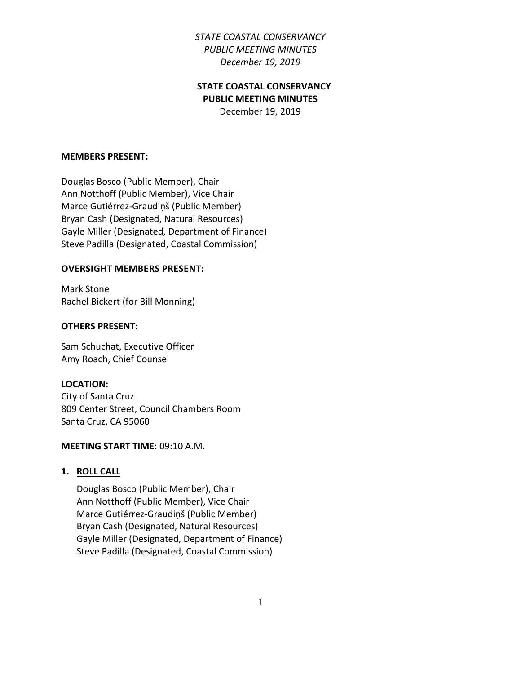## **STATE COASTAL CONSERVANCY PUBLIC MEETING MINUTES**

December 19, 2019

#### **MEMBERS PRESENT:**

Douglas Bosco (Public Member), Chair Ann Notthoff (Public Member), Vice Chair Marce Gutiérrez-Graudiņš (Public Member) Bryan Cash (Designated, Natural Resources) Gayle Miller (Designated, Department of Finance) Steve Padilla (Designated, Coastal Commission)

#### **OVERSIGHT MEMBERS PRESENT:**

Mark Stone Rachel Bickert (for Bill Monning)

#### **OTHERS PRESENT:**

Sam Schuchat, Executive Officer Amy Roach, Chief Counsel

#### **LOCATION:**

City of Santa Cruz 809 Center Street, Council Chambers Room Santa Cruz, CA 95060

#### **MEETING START TIME:** 09:10 A.M.

**1. ROLL CALL**

Douglas Bosco (Public Member), Chair Ann Notthoff (Public Member), Vice Chair Marce Gutiérrez-Graudiņš (Public Member) Bryan Cash (Designated, Natural Resources) Gayle Miller (Designated, Department of Finance) Steve Padilla (Designated, Coastal Commission)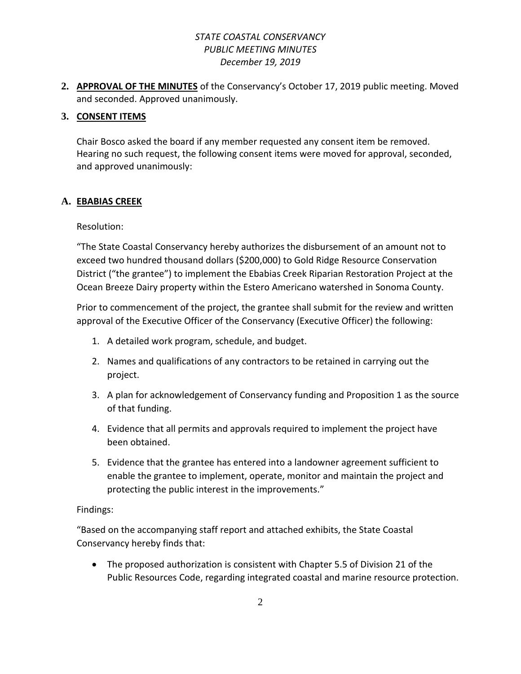**2. APPROVAL OF THE MINUTES** of the Conservancy's October 17, 2019 public meeting. Moved and seconded. Approved unanimously.

### **3. CONSENT ITEMS**

Chair Bosco asked the board if any member requested any consent item be removed. Hearing no such request, the following consent items were moved for approval, seconded, and approved unanimously:

### **A. EBABIAS CREEK**

### Resolution:

"The State Coastal Conservancy hereby authorizes the disbursement of an amount not to exceed two hundred thousand dollars (\$200,000) to Gold Ridge Resource Conservation District ("the grantee") to implement the Ebabias Creek Riparian Restoration Project at the Ocean Breeze Dairy property within the Estero Americano watershed in Sonoma County.

Prior to commencement of the project, the grantee shall submit for the review and written approval of the Executive Officer of the Conservancy (Executive Officer) the following:

- 1. A detailed work program, schedule, and budget.
- 2. Names and qualifications of any contractors to be retained in carrying out the project.
- 3. A plan for acknowledgement of Conservancy funding and Proposition 1 as the source of that funding.
- 4. Evidence that all permits and approvals required to implement the project have been obtained.
- 5. Evidence that the grantee has entered into a landowner agreement sufficient to enable the grantee to implement, operate, monitor and maintain the project and protecting the public interest in the improvements."

### Findings:

"Based on the accompanying staff report and attached exhibits, the State Coastal Conservancy hereby finds that:

• The proposed authorization is consistent with Chapter 5.5 of Division 21 of the Public Resources Code, regarding integrated coastal and marine resource protection.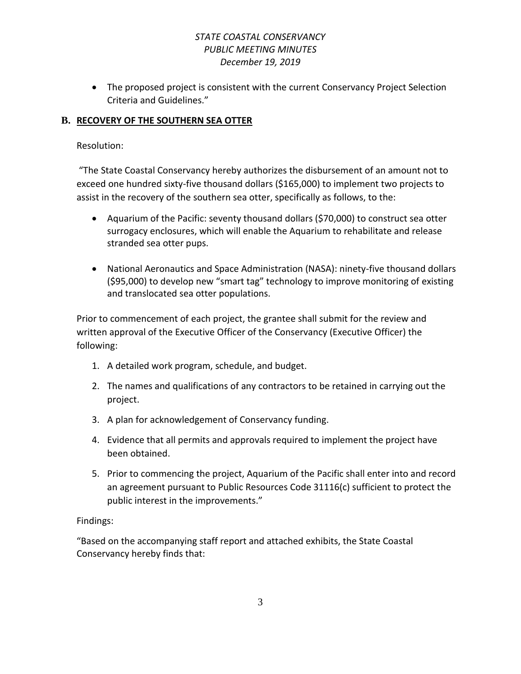• The proposed project is consistent with the current Conservancy Project Selection Criteria and Guidelines."

## **B. RECOVERY OF THE SOUTHERN SEA OTTER**

#### Resolution:

"The State Coastal Conservancy hereby authorizes the disbursement of an amount not to exceed one hundred sixty-five thousand dollars (\$165,000) to implement two projects to assist in the recovery of the southern sea otter, specifically as follows, to the:

- Aquarium of the Pacific: seventy thousand dollars (\$70,000) to construct sea otter surrogacy enclosures, which will enable the Aquarium to rehabilitate and release stranded sea otter pups.
- National Aeronautics and Space Administration (NASA): ninety-five thousand dollars (\$95,000) to develop new "smart tag" technology to improve monitoring of existing and translocated sea otter populations.

Prior to commencement of each project, the grantee shall submit for the review and written approval of the Executive Officer of the Conservancy (Executive Officer) the following:

- 1. A detailed work program, schedule, and budget.
- 2. The names and qualifications of any contractors to be retained in carrying out the project.
- 3. A plan for acknowledgement of Conservancy funding.
- 4. Evidence that all permits and approvals required to implement the project have been obtained.
- 5. Prior to commencing the project, Aquarium of the Pacific shall enter into and record an agreement pursuant to Public Resources Code 31116(c) sufficient to protect the public interest in the improvements."

### Findings:

"Based on the accompanying staff report and attached exhibits, the State Coastal Conservancy hereby finds that: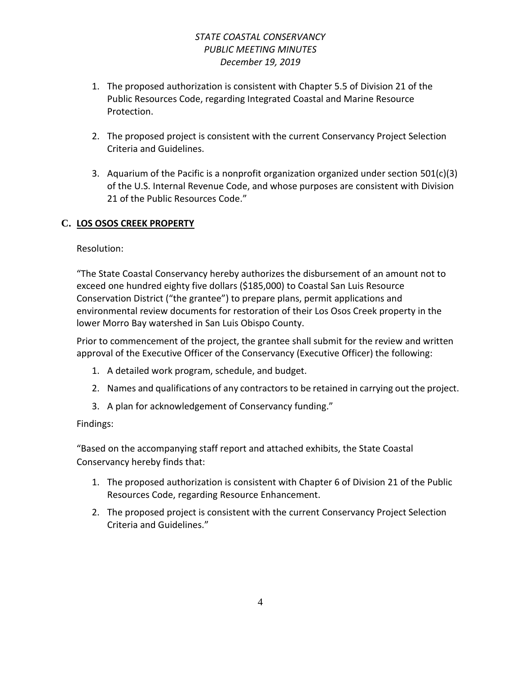- 1. The proposed authorization is consistent with Chapter 5.5 of Division 21 of the Public Resources Code, regarding Integrated Coastal and Marine Resource Protection.
- 2. The proposed project is consistent with the current Conservancy Project Selection Criteria and Guidelines.
- 3. Aquarium of the Pacific is a nonprofit organization organized under section 501(c)(3) of the U.S. Internal Revenue Code, and whose purposes are consistent with Division 21 of the Public Resources Code."

# **C. LOS OSOS CREEK PROPERTY**

Resolution:

"The State Coastal Conservancy hereby authorizes the disbursement of an amount not to exceed one hundred eighty five dollars (\$185,000) to Coastal San Luis Resource Conservation District ("the grantee") to prepare plans, permit applications and environmental review documents for restoration of their Los Osos Creek property in the lower Morro Bay watershed in San Luis Obispo County.

Prior to commencement of the project, the grantee shall submit for the review and written approval of the Executive Officer of the Conservancy (Executive Officer) the following:

- 1. A detailed work program, schedule, and budget.
- 2. Names and qualifications of any contractors to be retained in carrying out the project.
- 3. A plan for acknowledgement of Conservancy funding."

# Findings:

"Based on the accompanying staff report and attached exhibits, the State Coastal Conservancy hereby finds that:

- 1. The proposed authorization is consistent with Chapter 6 of Division 21 of the Public Resources Code, regarding Resource Enhancement.
- 2. The proposed project is consistent with the current Conservancy Project Selection Criteria and Guidelines."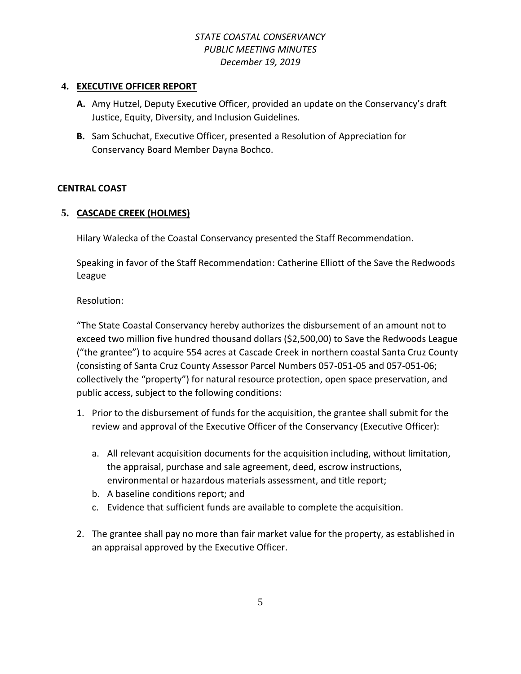### **4. EXECUTIVE OFFICER REPORT**

- **A.** Amy Hutzel, Deputy Executive Officer, provided an update on the Conservancy's draft Justice, Equity, Diversity, and Inclusion Guidelines.
- **B.** Sam Schuchat, Executive Officer, presented a Resolution of Appreciation for Conservancy Board Member Dayna Bochco.

### **CENTRAL COAST**

### **5. CASCADE CREEK (HOLMES)**

Hilary Walecka of the Coastal Conservancy presented the Staff Recommendation.

Speaking in favor of the Staff Recommendation: Catherine Elliott of the Save the Redwoods League

Resolution:

"The State Coastal Conservancy hereby authorizes the disbursement of an amount not to exceed two million five hundred thousand dollars (\$2,500,00) to Save the Redwoods League ("the grantee") to acquire 554 acres at Cascade Creek in northern coastal Santa Cruz County (consisting of Santa Cruz County Assessor Parcel Numbers 057-051-05 and 057-051-06; collectively the "property") for natural resource protection, open space preservation, and public access, subject to the following conditions:

- 1. Prior to the disbursement of funds for the acquisition, the grantee shall submit for the review and approval of the Executive Officer of the Conservancy (Executive Officer):
	- a. All relevant acquisition documents for the acquisition including, without limitation, the appraisal, purchase and sale agreement, deed, escrow instructions, environmental or hazardous materials assessment, and title report;
	- b. A baseline conditions report; and
	- c. Evidence that sufficient funds are available to complete the acquisition.
- 2. The grantee shall pay no more than fair market value for the property, as established in an appraisal approved by the Executive Officer.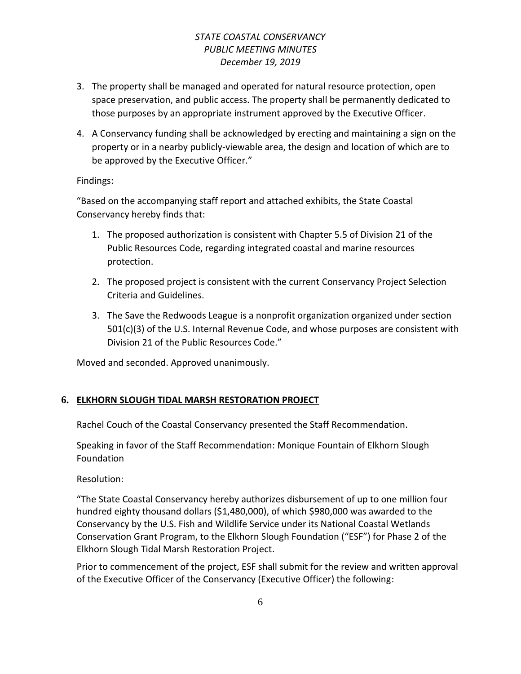- 3. The property shall be managed and operated for natural resource protection, open space preservation, and public access. The property shall be permanently dedicated to those purposes by an appropriate instrument approved by the Executive Officer.
- 4. A Conservancy funding shall be acknowledged by erecting and maintaining a sign on the property or in a nearby publicly-viewable area, the design and location of which are to be approved by the Executive Officer."

### Findings:

"Based on the accompanying staff report and attached exhibits, the State Coastal Conservancy hereby finds that:

- 1. The proposed authorization is consistent with Chapter 5.5 of Division 21 of the Public Resources Code, regarding integrated coastal and marine resources protection.
- 2. The proposed project is consistent with the current Conservancy Project Selection Criteria and Guidelines.
- 3. The Save the Redwoods League is a nonprofit organization organized under section 501(c)(3) of the U.S. Internal Revenue Code, and whose purposes are consistent with Division 21 of the Public Resources Code."

Moved and seconded. Approved unanimously.

# **6. ELKHORN SLOUGH TIDAL MARSH RESTORATION PROJECT**

Rachel Couch of the Coastal Conservancy presented the Staff Recommendation.

Speaking in favor of the Staff Recommendation: Monique Fountain of Elkhorn Slough Foundation

Resolution:

"The State Coastal Conservancy hereby authorizes disbursement of up to one million four hundred eighty thousand dollars (\$1,480,000), of which \$980,000 was awarded to the Conservancy by the U.S. Fish and Wildlife Service under its National Coastal Wetlands Conservation Grant Program, to the Elkhorn Slough Foundation ("ESF") for Phase 2 of the Elkhorn Slough Tidal Marsh Restoration Project.

Prior to commencement of the project, ESF shall submit for the review and written approval of the Executive Officer of the Conservancy (Executive Officer) the following: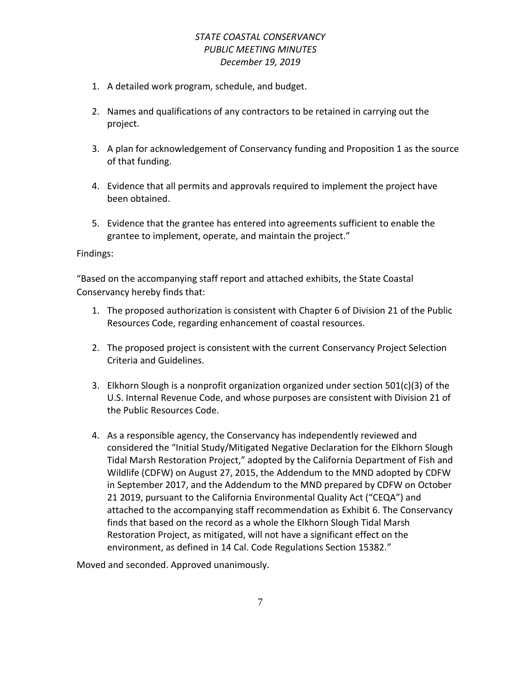- 1. A detailed work program, schedule, and budget.
- 2. Names and qualifications of any contractors to be retained in carrying out the project.
- 3. A plan for acknowledgement of Conservancy funding and Proposition 1 as the source of that funding.
- 4. Evidence that all permits and approvals required to implement the project have been obtained.
- 5. Evidence that the grantee has entered into agreements sufficient to enable the grantee to implement, operate, and maintain the project."

#### Findings:

"Based on the accompanying staff report and attached exhibits, the State Coastal Conservancy hereby finds that:

- 1. The proposed authorization is consistent with Chapter 6 of Division 21 of the Public Resources Code, regarding enhancement of coastal resources.
- 2. The proposed project is consistent with the current Conservancy Project Selection Criteria and Guidelines.
- 3. Elkhorn Slough is a nonprofit organization organized under section 501(c)(3) of the U.S. Internal Revenue Code, and whose purposes are consistent with Division 21 of the Public Resources Code.
- 4. As a responsible agency, the Conservancy has independently reviewed and considered the "Initial Study/Mitigated Negative Declaration for the Elkhorn Slough Tidal Marsh Restoration Project," adopted by the California Department of Fish and Wildlife (CDFW) on August 27, 2015, the Addendum to the MND adopted by CDFW in September 2017, and the Addendum to the MND prepared by CDFW on October 21 2019, pursuant to the California Environmental Quality Act ("CEQA") and attached to the accompanying staff recommendation as Exhibit 6. The Conservancy finds that based on the record as a whole the Elkhorn Slough Tidal Marsh Restoration Project, as mitigated, will not have a significant effect on the environment, as defined in 14 Cal. Code Regulations Section 15382."

Moved and seconded. Approved unanimously.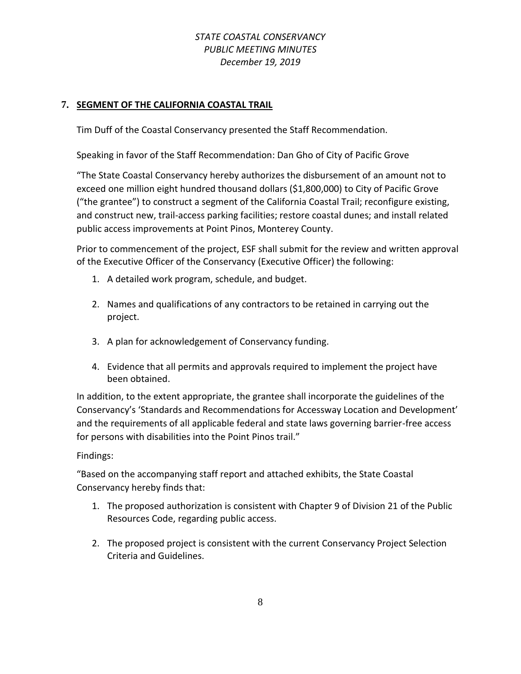## **7. SEGMENT OF THE CALIFORNIA COASTAL TRAIL**

Tim Duff of the Coastal Conservancy presented the Staff Recommendation.

Speaking in favor of the Staff Recommendation: Dan Gho of City of Pacific Grove

"The State Coastal Conservancy hereby authorizes the disbursement of an amount not to exceed one million eight hundred thousand dollars (\$1,800,000) to City of Pacific Grove ("the grantee") to construct a segment of the California Coastal Trail; reconfigure existing, and construct new, trail-access parking facilities; restore coastal dunes; and install related public access improvements at Point Pinos, Monterey County.

Prior to commencement of the project, ESF shall submit for the review and written approval of the Executive Officer of the Conservancy (Executive Officer) the following:

- 1. A detailed work program, schedule, and budget.
- 2. Names and qualifications of any contractors to be retained in carrying out the project.
- 3. A plan for acknowledgement of Conservancy funding.
- 4. Evidence that all permits and approvals required to implement the project have been obtained.

In addition, to the extent appropriate, the grantee shall incorporate the guidelines of the Conservancy's 'Standards and Recommendations for Accessway Location and Development' and the requirements of all applicable federal and state laws governing barrier-free access for persons with disabilities into the Point Pinos trail."

### Findings:

"Based on the accompanying staff report and attached exhibits, the State Coastal Conservancy hereby finds that:

- 1. The proposed authorization is consistent with Chapter 9 of Division 21 of the Public Resources Code, regarding public access.
- 2. The proposed project is consistent with the current Conservancy Project Selection Criteria and Guidelines.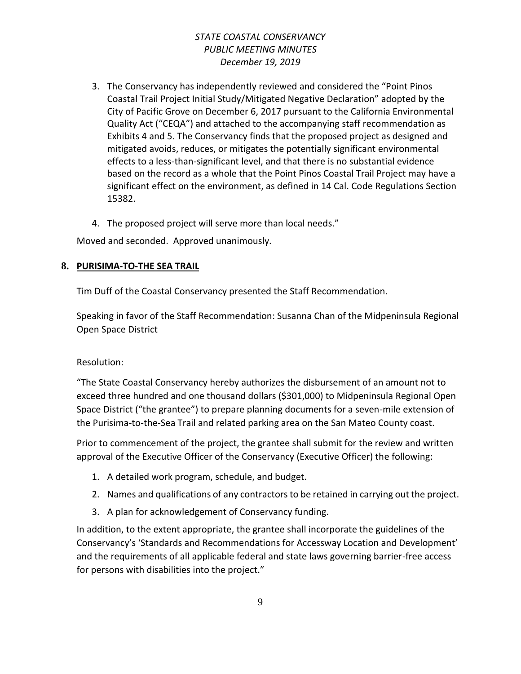- 3. The Conservancy has independently reviewed and considered the "Point Pinos Coastal Trail Project Initial Study/Mitigated Negative Declaration" adopted by the City of Pacific Grove on December 6, 2017 pursuant to the California Environmental Quality Act ("CEQA") and attached to the accompanying staff recommendation as Exhibits 4 and 5. The Conservancy finds that the proposed project as designed and mitigated avoids, reduces, or mitigates the potentially significant environmental effects to a less-than-significant level, and that there is no substantial evidence based on the record as a whole that the Point Pinos Coastal Trail Project may have a significant effect on the environment, as defined in 14 Cal. Code Regulations Section 15382.
- 4. The proposed project will serve more than local needs."

Moved and seconded. Approved unanimously.

### **8. PURISIMA-TO-THE SEA TRAIL**

Tim Duff of the Coastal Conservancy presented the Staff Recommendation.

Speaking in favor of the Staff Recommendation: Susanna Chan of the Midpeninsula Regional Open Space District

### Resolution:

"The State Coastal Conservancy hereby authorizes the disbursement of an amount not to exceed three hundred and one thousand dollars (\$301,000) to Midpeninsula Regional Open Space District ("the grantee") to prepare planning documents for a seven-mile extension of the Purisima-to-the-Sea Trail and related parking area on the San Mateo County coast.

Prior to commencement of the project, the grantee shall submit for the review and written approval of the Executive Officer of the Conservancy (Executive Officer) the following:

- 1. A detailed work program, schedule, and budget.
- 2. Names and qualifications of any contractors to be retained in carrying out the project.
- 3. A plan for acknowledgement of Conservancy funding.

In addition, to the extent appropriate, the grantee shall incorporate the guidelines of the Conservancy's 'Standards and Recommendations for Accessway Location and Development' and the requirements of all applicable federal and state laws governing barrier-free access for persons with disabilities into the project."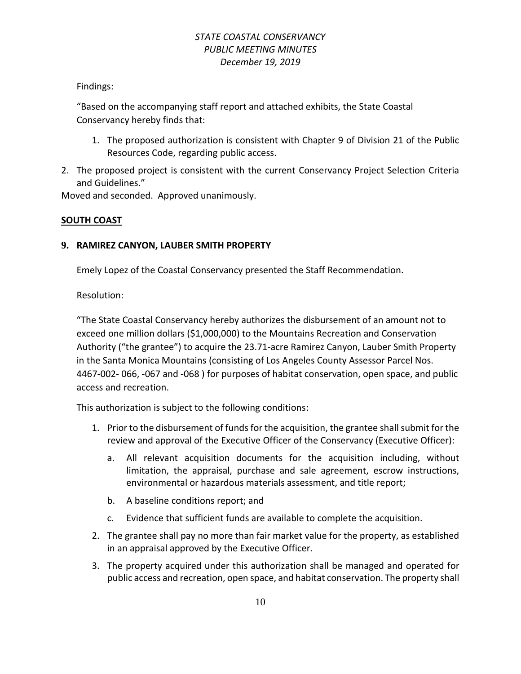Findings:

"Based on the accompanying staff report and attached exhibits, the State Coastal Conservancy hereby finds that:

- 1. The proposed authorization is consistent with Chapter 9 of Division 21 of the Public Resources Code, regarding public access.
- 2. The proposed project is consistent with the current Conservancy Project Selection Criteria and Guidelines."

Moved and seconded. Approved unanimously.

# **SOUTH COAST**

### **9. RAMIREZ CANYON, LAUBER SMITH PROPERTY**

Emely Lopez of the Coastal Conservancy presented the Staff Recommendation.

Resolution:

"The State Coastal Conservancy hereby authorizes the disbursement of an amount not to exceed one million dollars (\$1,000,000) to the Mountains Recreation and Conservation Authority ("the grantee") to acquire the 23.71-acre Ramirez Canyon, Lauber Smith Property in the Santa Monica Mountains (consisting of Los Angeles County Assessor Parcel Nos. 4467-002- 066, -067 and -068 ) for purposes of habitat conservation, open space, and public access and recreation.

This authorization is subject to the following conditions:

- 1. Prior to the disbursement of funds for the acquisition, the grantee shall submit for the review and approval of the Executive Officer of the Conservancy (Executive Officer):
	- a. All relevant acquisition documents for the acquisition including, without limitation, the appraisal, purchase and sale agreement, escrow instructions, environmental or hazardous materials assessment, and title report;
	- b. A baseline conditions report; and
	- c. Evidence that sufficient funds are available to complete the acquisition.
- 2. The grantee shall pay no more than fair market value for the property, as established in an appraisal approved by the Executive Officer.
- 3. The property acquired under this authorization shall be managed and operated for public access and recreation, open space, and habitat conservation. The property shall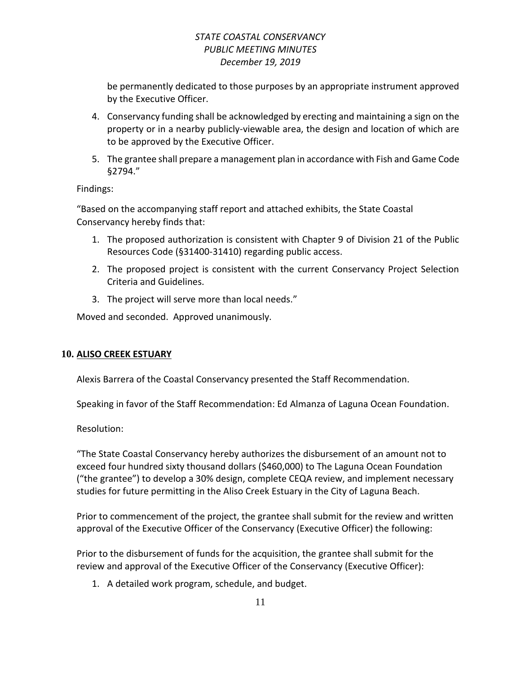be permanently dedicated to those purposes by an appropriate instrument approved by the Executive Officer.

- 4. Conservancy funding shall be acknowledged by erecting and maintaining a sign on the property or in a nearby publicly-viewable area, the design and location of which are to be approved by the Executive Officer.
- 5. The grantee shall prepare a management plan in accordance with Fish and Game Code §2794."

### Findings:

"Based on the accompanying staff report and attached exhibits, the State Coastal Conservancy hereby finds that:

- 1. The proposed authorization is consistent with Chapter 9 of Division 21 of the Public Resources Code (§31400-31410) regarding public access.
- 2. The proposed project is consistent with the current Conservancy Project Selection Criteria and Guidelines.
- 3. The project will serve more than local needs."

Moved and seconded. Approved unanimously.

# **10. ALISO CREEK ESTUARY**

Alexis Barrera of the Coastal Conservancy presented the Staff Recommendation.

Speaking in favor of the Staff Recommendation: Ed Almanza of Laguna Ocean Foundation.

Resolution:

"The State Coastal Conservancy hereby authorizes the disbursement of an amount not to exceed four hundred sixty thousand dollars (\$460,000) to The Laguna Ocean Foundation ("the grantee") to develop a 30% design, complete CEQA review, and implement necessary studies for future permitting in the Aliso Creek Estuary in the City of Laguna Beach.

Prior to commencement of the project, the grantee shall submit for the review and written approval of the Executive Officer of the Conservancy (Executive Officer) the following:

Prior to the disbursement of funds for the acquisition, the grantee shall submit for the review and approval of the Executive Officer of the Conservancy (Executive Officer):

1. A detailed work program, schedule, and budget.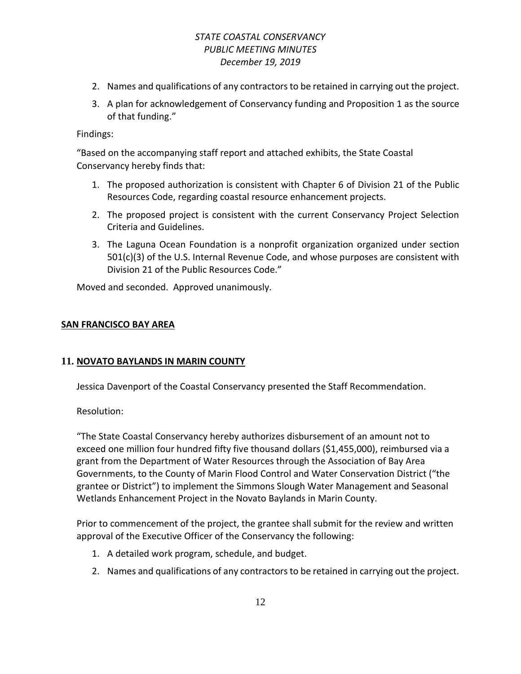- 2. Names and qualifications of any contractors to be retained in carrying out the project.
- 3. A plan for acknowledgement of Conservancy funding and Proposition 1 as the source of that funding."

#### Findings:

"Based on the accompanying staff report and attached exhibits, the State Coastal Conservancy hereby finds that:

- 1. The proposed authorization is consistent with Chapter 6 of Division 21 of the Public Resources Code, regarding coastal resource enhancement projects.
- 2. The proposed project is consistent with the current Conservancy Project Selection Criteria and Guidelines.
- 3. The Laguna Ocean Foundation is a nonprofit organization organized under section 501(c)(3) of the U.S. Internal Revenue Code, and whose purposes are consistent with Division 21 of the Public Resources Code."

Moved and seconded. Approved unanimously.

#### **SAN FRANCISCO BAY AREA**

### **11. NOVATO BAYLANDS IN MARIN COUNTY**

Jessica Davenport of the Coastal Conservancy presented the Staff Recommendation.

Resolution:

"The State Coastal Conservancy hereby authorizes disbursement of an amount not to exceed one million four hundred fifty five thousand dollars (\$1,455,000), reimbursed via a grant from the Department of Water Resources through the Association of Bay Area Governments, to the County of Marin Flood Control and Water Conservation District ("the grantee or District") to implement the Simmons Slough Water Management and Seasonal Wetlands Enhancement Project in the Novato Baylands in Marin County.

Prior to commencement of the project, the grantee shall submit for the review and written approval of the Executive Officer of the Conservancy the following:

- 1. A detailed work program, schedule, and budget.
- 2. Names and qualifications of any contractors to be retained in carrying out the project.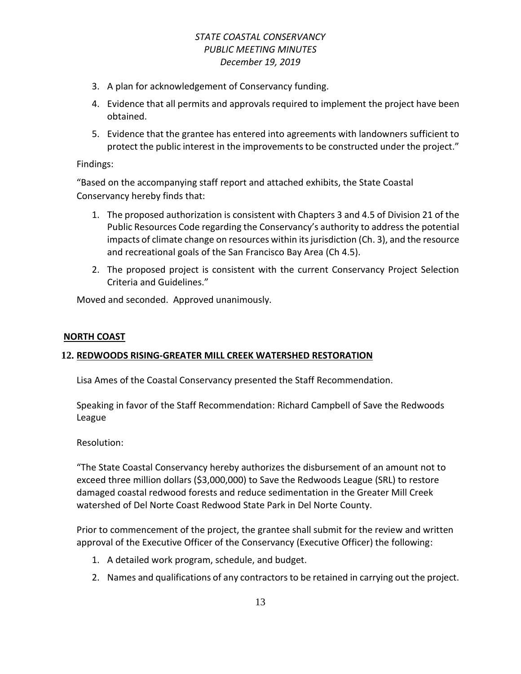- 3. A plan for acknowledgement of Conservancy funding.
- 4. Evidence that all permits and approvals required to implement the project have been obtained.
- 5. Evidence that the grantee has entered into agreements with landowners sufficient to protect the public interest in the improvements to be constructed under the project."

### Findings:

"Based on the accompanying staff report and attached exhibits, the State Coastal Conservancy hereby finds that:

- 1. The proposed authorization is consistent with Chapters 3 and 4.5 of Division 21 of the Public Resources Code regarding the Conservancy's authority to address the potential impacts of climate change on resources within its jurisdiction (Ch. 3), and the resource and recreational goals of the San Francisco Bay Area (Ch 4.5).
- 2. The proposed project is consistent with the current Conservancy Project Selection Criteria and Guidelines."

Moved and seconded. Approved unanimously.

#### **NORTH COAST**

### **12. REDWOODS RISING-GREATER MILL CREEK WATERSHED RESTORATION**

Lisa Ames of the Coastal Conservancy presented the Staff Recommendation.

Speaking in favor of the Staff Recommendation: Richard Campbell of Save the Redwoods League

Resolution:

"The State Coastal Conservancy hereby authorizes the disbursement of an amount not to exceed three million dollars (\$3,000,000) to Save the Redwoods League (SRL) to restore damaged coastal redwood forests and reduce sedimentation in the Greater Mill Creek watershed of Del Norte Coast Redwood State Park in Del Norte County.

Prior to commencement of the project, the grantee shall submit for the review and written approval of the Executive Officer of the Conservancy (Executive Officer) the following:

- 1. A detailed work program, schedule, and budget.
- 2. Names and qualifications of any contractors to be retained in carrying out the project.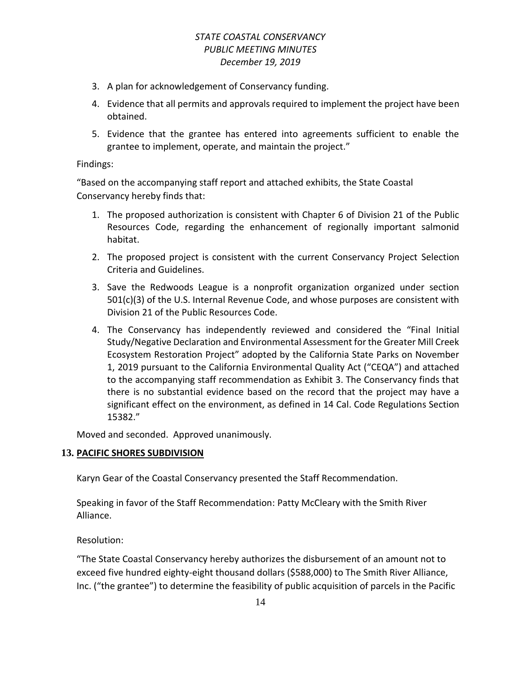- 3. A plan for acknowledgement of Conservancy funding.
- 4. Evidence that all permits and approvals required to implement the project have been obtained.
- 5. Evidence that the grantee has entered into agreements sufficient to enable the grantee to implement, operate, and maintain the project."

### Findings:

"Based on the accompanying staff report and attached exhibits, the State Coastal Conservancy hereby finds that:

- 1. The proposed authorization is consistent with Chapter 6 of Division 21 of the Public Resources Code, regarding the enhancement of regionally important salmonid habitat.
- 2. The proposed project is consistent with the current Conservancy Project Selection Criteria and Guidelines.
- 3. Save the Redwoods League is a nonprofit organization organized under section 501(c)(3) of the U.S. Internal Revenue Code, and whose purposes are consistent with Division 21 of the Public Resources Code.
- 4. The Conservancy has independently reviewed and considered the "Final Initial Study/Negative Declaration and Environmental Assessment for the Greater Mill Creek Ecosystem Restoration Project" adopted by the California State Parks on November 1, 2019 pursuant to the California Environmental Quality Act ("CEQA") and attached to the accompanying staff recommendation as Exhibit 3. The Conservancy finds that there is no substantial evidence based on the record that the project may have a significant effect on the environment, as defined in 14 Cal. Code Regulations Section 15382."

Moved and seconded. Approved unanimously.

### **13. PACIFIC SHORES SUBDIVISION**

Karyn Gear of the Coastal Conservancy presented the Staff Recommendation.

Speaking in favor of the Staff Recommendation: Patty McCleary with the Smith River Alliance.

Resolution:

"The State Coastal Conservancy hereby authorizes the disbursement of an amount not to exceed five hundred eighty-eight thousand dollars (\$588,000) to The Smith River Alliance, Inc. ("the grantee") to determine the feasibility of public acquisition of parcels in the Pacific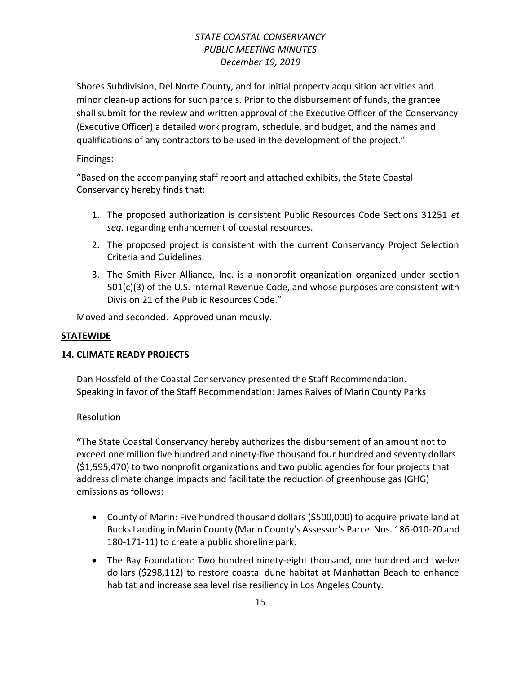Shores Subdivision, Del Norte County, and for initial property acquisition activities and minor clean-up actions for such parcels. Prior to the disbursement of funds, the grantee shall submit for the review and written approval of the Executive Officer of the Conservancy (Executive Officer) a detailed work program, schedule, and budget, and the names and qualifications of any contractors to be used in the development of the project."

## Findings:

"Based on the accompanying staff report and attached exhibits, the State Coastal Conservancy hereby finds that:

- 1. The proposed authorization is consistent Public Resources Code Sections 31251 *et seq.* regarding enhancement of coastal resources.
- 2. The proposed project is consistent with the current Conservancy Project Selection Criteria and Guidelines.
- 3. The Smith River Alliance, Inc. is a nonprofit organization organized under section 501(c)(3) of the U.S. Internal Revenue Code, and whose purposes are consistent with Division 21 of the Public Resources Code."

Moved and seconded. Approved unanimously.

### **STATEWIDE**

# **14. CLIMATE READY PROJECTS**

Dan Hossfeld of the Coastal Conservancy presented the Staff Recommendation. Speaking in favor of the Staff Recommendation: James Raives of Marin County Parks

### **Resolution**

**"**The State Coastal Conservancy hereby authorizes the disbursement of an amount not to exceed one million five hundred and ninety-five thousand four hundred and seventy dollars (\$1,595,470) to two nonprofit organizations and two public agencies for four projects that address climate change impacts and facilitate the reduction of greenhouse gas (GHG) emissions as follows:

- County of Marin: Five hundred thousand dollars (\$500,000) to acquire private land at Bucks Landing in Marin County (Marin County's Assessor's Parcel Nos. 186-010-20 and 180-171-11) to create a public shoreline park.
- The Bay Foundation: Two hundred ninety-eight thousand, one hundred and twelve dollars (\$298,112) to restore coastal dune habitat at Manhattan Beach to enhance habitat and increase sea level rise resiliency in Los Angeles County.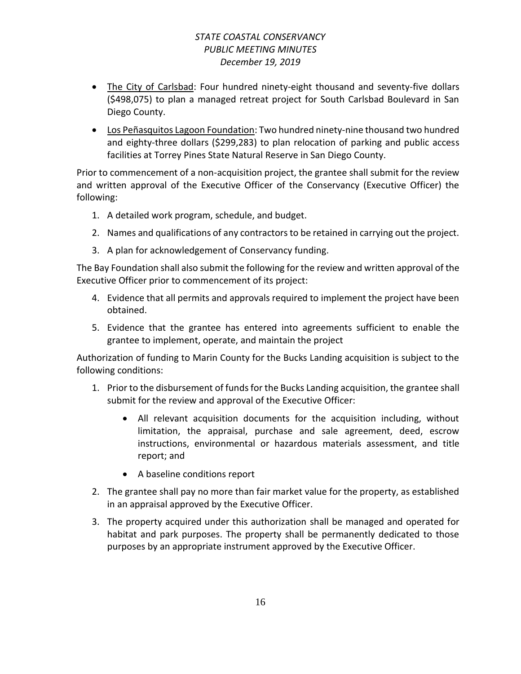- The City of Carlsbad: Four hundred ninety-eight thousand and seventy-five dollars (\$498,075) to plan a managed retreat project for South Carlsbad Boulevard in San Diego County.
- Los Peñasquitos Lagoon Foundation: Two hundred ninety-nine thousand two hundred and eighty-three dollars (\$299,283) to plan relocation of parking and public access facilities at Torrey Pines State Natural Reserve in San Diego County.

Prior to commencement of a non-acquisition project, the grantee shall submit for the review and written approval of the Executive Officer of the Conservancy (Executive Officer) the following:

- 1. A detailed work program, schedule, and budget.
- 2. Names and qualifications of any contractors to be retained in carrying out the project.
- 3. A plan for acknowledgement of Conservancy funding.

The Bay Foundation shall also submit the following for the review and written approval of the Executive Officer prior to commencement of its project:

- 4. Evidence that all permits and approvals required to implement the project have been obtained.
- 5. Evidence that the grantee has entered into agreements sufficient to enable the grantee to implement, operate, and maintain the project

Authorization of funding to Marin County for the Bucks Landing acquisition is subject to the following conditions:

- 1. Prior to the disbursement of funds for the Bucks Landing acquisition, the grantee shall submit for the review and approval of the Executive Officer:
	- All relevant acquisition documents for the acquisition including, without limitation, the appraisal, purchase and sale agreement, deed, escrow instructions, environmental or hazardous materials assessment, and title report; and
	- A baseline conditions report
- 2. The grantee shall pay no more than fair market value for the property, as established in an appraisal approved by the Executive Officer.
- 3. The property acquired under this authorization shall be managed and operated for habitat and park purposes. The property shall be permanently dedicated to those purposes by an appropriate instrument approved by the Executive Officer.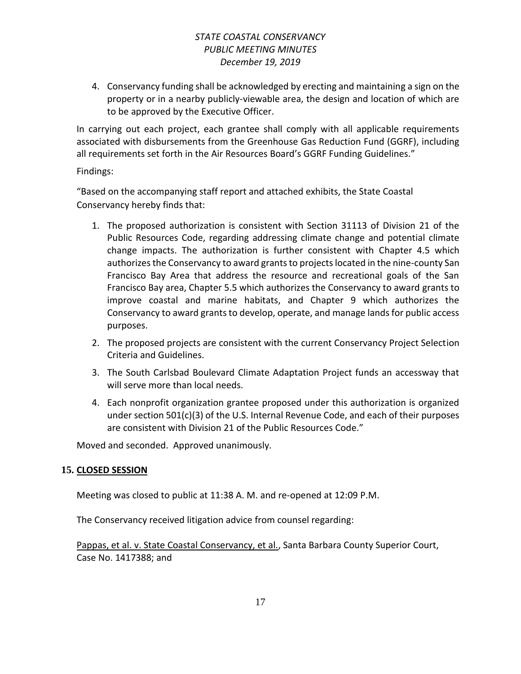4. Conservancy funding shall be acknowledged by erecting and maintaining a sign on the property or in a nearby publicly-viewable area, the design and location of which are to be approved by the Executive Officer.

In carrying out each project, each grantee shall comply with all applicable requirements associated with disbursements from the Greenhouse Gas Reduction Fund (GGRF), including all requirements set forth in the Air Resources Board's GGRF Funding Guidelines."

### Findings:

"Based on the accompanying staff report and attached exhibits, the State Coastal Conservancy hereby finds that:

- 1. The proposed authorization is consistent with Section 31113 of Division 21 of the Public Resources Code, regarding addressing climate change and potential climate change impacts. The authorization is further consistent with Chapter 4.5 which authorizes the Conservancy to award grants to projects located in the nine-county San Francisco Bay Area that address the resource and recreational goals of the San Francisco Bay area, Chapter 5.5 which authorizes the Conservancy to award grants to improve coastal and marine habitats, and Chapter 9 which authorizes the Conservancy to award grants to develop, operate, and manage lands for public access purposes.
- 2. The proposed projects are consistent with the current Conservancy Project Selection Criteria and Guidelines.
- 3. The South Carlsbad Boulevard Climate Adaptation Project funds an accessway that will serve more than local needs.
- 4. Each nonprofit organization grantee proposed under this authorization is organized under section 501(c)(3) of the U.S. Internal Revenue Code, and each of their purposes are consistent with Division 21 of the Public Resources Code."

Moved and seconded. Approved unanimously.

# **15. CLOSED SESSION**

Meeting was closed to public at 11:38 A. M. and re-opened at 12:09 P.M.

The Conservancy received litigation advice from counsel regarding:

Pappas, et al. v. State Coastal Conservancy, et al., Santa Barbara County Superior Court, Case No. 1417388; and